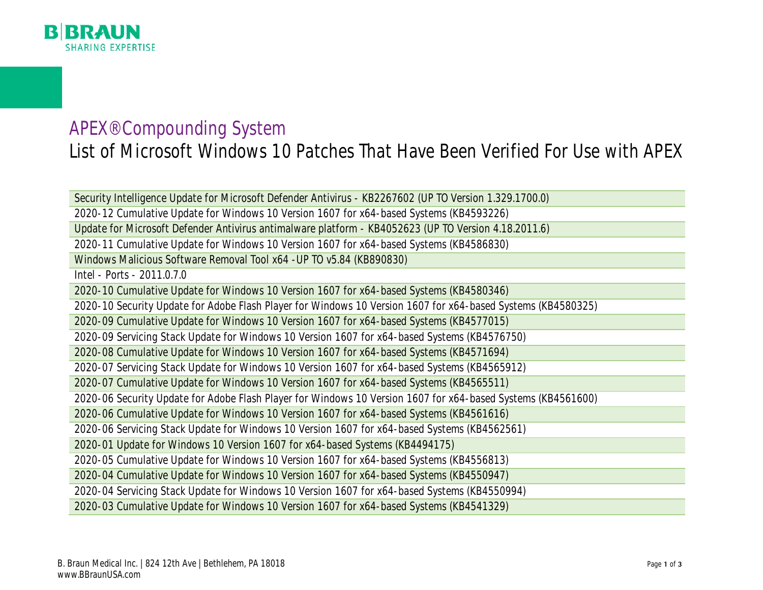

## APEX® Compounding System List of Microsoft Windows 10 Patches That Have Been Verified For Use with APEX

Security Intelligence Update for Microsoft Defender Antivirus - KB2267602 (UP TO Version 1.329.1700.0) 2020-12 Cumulative Update for Windows 10 Version 1607 for x64-based Systems (KB4593226) Update for Microsoft Defender Antivirus antimalware platform - KB4052623 (UP TO Version 4.18.2011.6)

2020-11 Cumulative Update for Windows 10 Version 1607 for x64-based Systems (KB4586830)

Windows Malicious Software Removal Tool x64 -UP TO v5.84 (KB890830)

Intel - Ports - 2011.0.7.0

2020-10 Cumulative Update for Windows 10 Version 1607 for x64-based Systems (KB4580346)

2020-10 Security Update for Adobe Flash Player for Windows 10 Version 1607 for x64-based Systems (KB4580325)

2020-09 Cumulative Update for Windows 10 Version 1607 for x64-based Systems (KB4577015)

2020-09 Servicing Stack Update for Windows 10 Version 1607 for x64-based Systems (KB4576750)

2020-08 Cumulative Update for Windows 10 Version 1607 for x64-based Systems (KB4571694)

2020-07 Servicing Stack Update for Windows 10 Version 1607 for x64-based Systems (KB4565912)

2020-07 Cumulative Update for Windows 10 Version 1607 for x64-based Systems (KB4565511)

2020-06 Security Update for Adobe Flash Player for Windows 10 Version 1607 for x64-based Systems (KB4561600)

2020-06 Cumulative Update for Windows 10 Version 1607 for x64-based Systems (KB4561616)

2020-06 Servicing Stack Update for Windows 10 Version 1607 for x64-based Systems (KB4562561)

2020-01 Update for Windows 10 Version 1607 for x64-based Systems (KB4494175)

2020-05 Cumulative Update for Windows 10 Version 1607 for x64-based Systems (KB4556813)

2020-04 Cumulative Update for Windows 10 Version 1607 for x64-based Systems (KB4550947)

2020-04 Servicing Stack Update for Windows 10 Version 1607 for x64-based Systems (KB4550994)

2020-03 Cumulative Update for Windows 10 Version 1607 for x64-based Systems (KB4541329)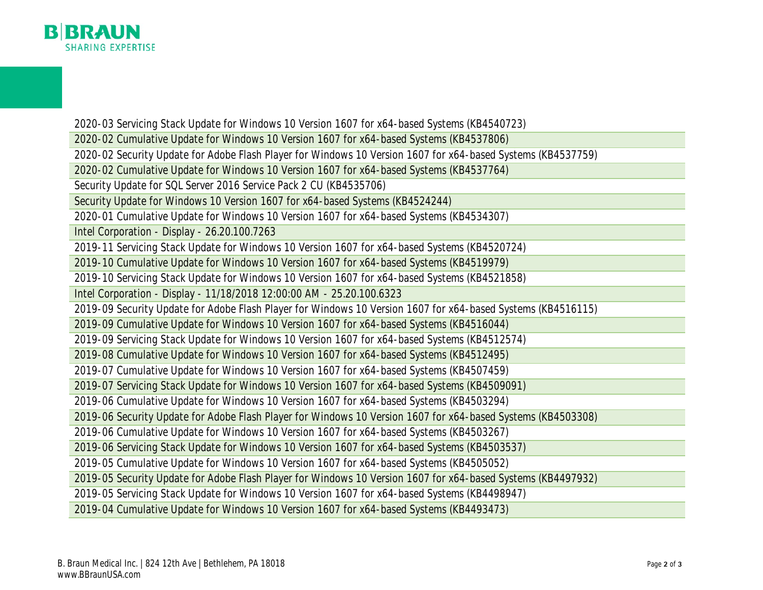

2020-03 Servicing Stack Update for Windows 10 Version 1607 for x64-based Systems (KB4540723)

2020-02 Cumulative Update for Windows 10 Version 1607 for x64-based Systems (KB4537806)

2020-02 Security Update for Adobe Flash Player for Windows 10 Version 1607 for x64-based Systems (KB4537759)

2020-02 Cumulative Update for Windows 10 Version 1607 for x64-based Systems (KB4537764)

Security Update for SQL Server 2016 Service Pack 2 CU (KB4535706)

Security Update for Windows 10 Version 1607 for x64-based Systems (KB4524244)

2020-01 Cumulative Update for Windows 10 Version 1607 for x64-based Systems (KB4534307)

Intel Corporation - Display - 26.20.100.7263

2019-11 Servicing Stack Update for Windows 10 Version 1607 for x64-based Systems (KB4520724)

2019-10 Cumulative Update for Windows 10 Version 1607 for x64-based Systems (KB4519979)

2019-10 Servicing Stack Update for Windows 10 Version 1607 for x64-based Systems (KB4521858)

Intel Corporation - Display - 11/18/2018 12:00:00 AM - 25.20.100.6323

2019-09 Security Update for Adobe Flash Player for Windows 10 Version 1607 for x64-based Systems (KB4516115)

2019-09 Cumulative Update for Windows 10 Version 1607 for x64-based Systems (KB4516044)

2019-09 Servicing Stack Update for Windows 10 Version 1607 for x64-based Systems (KB4512574)

2019-08 Cumulative Update for Windows 10 Version 1607 for x64-based Systems (KB4512495)

2019-07 Cumulative Update for Windows 10 Version 1607 for x64-based Systems (KB4507459)

2019-07 Servicing Stack Update for Windows 10 Version 1607 for x64-based Systems (KB4509091)

2019-06 Cumulative Update for Windows 10 Version 1607 for x64-based Systems (KB4503294)

2019-06 Security Update for Adobe Flash Player for Windows 10 Version 1607 for x64-based Systems (KB4503308)

2019-06 Cumulative Update for Windows 10 Version 1607 for x64-based Systems (KB4503267)

2019-06 Servicing Stack Update for Windows 10 Version 1607 for x64-based Systems (KB4503537)

2019-05 Cumulative Update for Windows 10 Version 1607 for x64-based Systems (KB4505052)

2019-05 Security Update for Adobe Flash Player for Windows 10 Version 1607 for x64-based Systems (KB4497932)

2019-05 Servicing Stack Update for Windows 10 Version 1607 for x64-based Systems (KB4498947)

2019-04 Cumulative Update for Windows 10 Version 1607 for x64-based Systems (KB4493473)